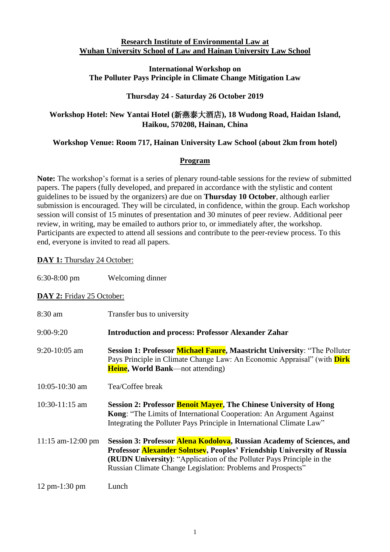#### **Research Institute of Environmental Law at Wuhan University School of Law and Hainan University Law School**

#### **International Workshop on The Polluter Pays Principle in Climate Change Mitigation Law**

### **Thursday 24 - Saturday 26 October 2019**

# **Workshop Hotel: New Yantai Hotel (**新燕泰大酒店**), 18 Wudong Road, Haidan Island, Haikou, 570208, Hainan, China**

# **Workshop Venue: Room 717, Hainan University Law School (about 2km from hotel)**

## **Program**

**Note:** The workshop's format is a series of plenary round-table sessions for the review of submitted papers. The papers (fully developed, and prepared in accordance with the stylistic and content guidelines to be issued by the organizers) are due on **Thursday 10 October**, although earlier submission is encouraged. They will be circulated, in confidence, within the group. Each workshop session will consist of 15 minutes of presentation and 30 minutes of peer review. Additional peer review, in writing, may be emailed to authors prior to, or immediately after, the workshop. Participants are expected to attend all sessions and contribute to the peer-review process. To this end, everyone is invited to read all papers.

### **DAY 1:** Thursday 24 October:

| $6:30-8:00$ pm | Welcoming dinner |
|----------------|------------------|
|                |                  |

### DAY 2: Friday 25 October:

| 8:30 am                           | Transfer bus to university                                                                                                                                                                                                                                                              |
|-----------------------------------|-----------------------------------------------------------------------------------------------------------------------------------------------------------------------------------------------------------------------------------------------------------------------------------------|
| $9:00-9:20$                       | <b>Introduction and process: Professor Alexander Zahar</b>                                                                                                                                                                                                                              |
| $9:20-10:05$ am                   | Session 1: Professor Michael Faure, Maastricht University: "The Polluter<br>Pays Principle in Climate Change Law: An Economic Appraisal" (with <b>Dirk</b><br><b>Heine</b> , World Bank—not attending)                                                                                  |
| $10:05 - 10:30$ am                | Tea/Coffee break                                                                                                                                                                                                                                                                        |
| $10:30-11:15$ am                  | Session 2: Professor Benoit Mayer, The Chinese University of Hong<br>Kong: "The Limits of International Cooperation: An Argument Against<br>Integrating the Polluter Pays Principle in International Climate Law"                                                                       |
| 11:15 am-12:00 pm                 | Session 3: Professor Alena Kodolova, Russian Academy of Sciences, and<br>Professor Alexander Solntsev, Peoples' Friendship University of Russia<br>(RUDN University): "Application of the Polluter Pays Principle in the<br>Russian Climate Change Legislation: Problems and Prospects" |
| $12 \text{ pm} - 1:30 \text{ pm}$ | Lunch                                                                                                                                                                                                                                                                                   |